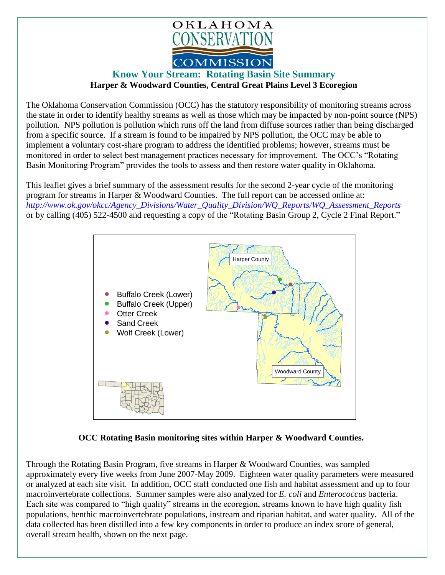

## **Know Your Stream: Rotating Basin Site Summary Harper & Woodward Counties, Central Great Plains Level 3 Ecoregion**

The Oklahoma Conservation Commission (OCC) has the statutory responsibility of monitoring streams across the state in order to identify healthy streams as well as those which may be impacted by non-point source (NPS) pollution. NPS pollution is pollution which runs off the land from diffuse sources rather than being discharged from a specific source. If a stream is found to be impaired by NPS pollution, the OCC may be able to implement a voluntary cost-share program to address the identified problems; however, streams must be monitored in order to select best management practices necessary for improvement. The OCC's "Rotating Basin Monitoring Program" provides the tools to assess and then restore water quality in Oklahoma.

This leaflet gives a brief summary of the assessment results for the second 2-year cycle of the monitoring program for streams in Harper & Woodward Counties. The full report can be accessed online at: *[http://www.ok.gov/okcc/Agency\\_Divisions/Water\\_Quality\\_Division/WQ\\_Reports/WQ\\_Assessment\\_Reports](http://www.ok.gov/okcc/Agency_Divisions/Water_Quality_Division/WQ_Reports/WQ_Assessment_Reports)* or by calling (405) 522-4500 and requesting a copy of the "Rotating Basin Group 2, Cycle 2 Final Report."



## **OCC Rotating Basin monitoring sites within Harper & Woodward Counties.**

Through the Rotating Basin Program, five streams in Harper & Woodward Counties. was sampled approximately every five weeks from June 2007-May 2009. Eighteen water quality parameters were measured or analyzed at each site visit. In addition, OCC staff conducted one fish and habitat assessment and up to four macroinvertebrate collections. Summer samples were also analyzed for *E. coli* and *Enterococcus* bacteria. Each site was compared to "high quality" streams in the ecoregion, streams known to have high quality fish populations, benthic macroinvertebrate populations, instream and riparian habitat, and water quality. All of the data collected has been distilled into a few key components in order to produce an index score of general, overall stream health, shown on the next page.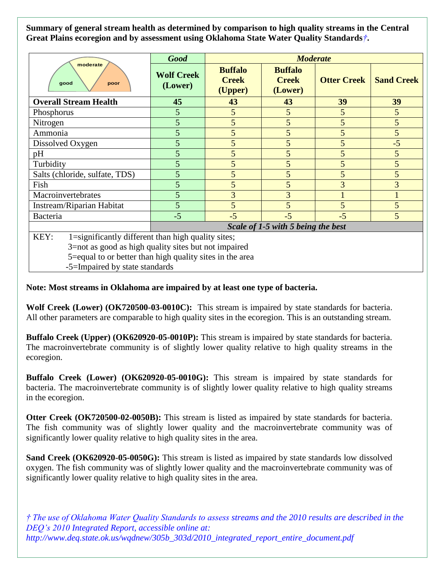**Summary of general stream health as determined by comparison to high quality streams in the Central Great Plains ecoregion and by assessment using Oklahoma State Water Quality Standards***†***.**

| moderate<br>good<br>poor                                   | <b>Good</b>                        | <b>Moderate</b>                           |                                           |                    |                   |
|------------------------------------------------------------|------------------------------------|-------------------------------------------|-------------------------------------------|--------------------|-------------------|
|                                                            | <b>Wolf Creek</b><br>(Lower)       | <b>Buffalo</b><br><b>Creek</b><br>(Upper) | <b>Buffalo</b><br><b>Creek</b><br>(Lower) | <b>Otter Creek</b> | <b>Sand Creek</b> |
| <b>Overall Stream Health</b>                               | 45                                 | 43                                        | 43                                        | 39                 | 39                |
| Phosphorus                                                 | 5                                  | 5                                         | 5                                         | 5                  | 5                 |
| Nitrogen                                                   | 5                                  | 5                                         | 5                                         |                    | 5                 |
| Ammonia                                                    | 5                                  | 5                                         | 5                                         | 5                  | 5                 |
| Dissolved Oxygen                                           | 5                                  | 5                                         | 5                                         | 5                  | $-5$              |
| pH                                                         | 5                                  | 5                                         | 5                                         | 5                  | 5                 |
| Turbidity                                                  | 5                                  | 5                                         | 5                                         | 5                  | 5                 |
| Salts (chloride, sulfate, TDS)                             | 5                                  | 5                                         | 5                                         | 5                  | 5                 |
| Fish                                                       | 5                                  | 5                                         | 5                                         | 3                  | 3                 |
| Macroinvertebrates                                         | 5                                  | 3                                         | 3                                         |                    |                   |
| Instream/Riparian Habitat                                  | 5                                  | 5                                         | 5                                         | 5                  | 5                 |
| Bacteria                                                   | $-5$                               | $-5$                                      | $-5$                                      | $-5$               | 5                 |
|                                                            | Scale of 1-5 with 5 being the best |                                           |                                           |                    |                   |
| KEY:<br>1=significantly different than high quality sites; |                                    |                                           |                                           |                    |                   |
| 3=not as good as high quality sites but not impaired       |                                    |                                           |                                           |                    |                   |
| 5=equal to or better than high quality sites in the area   |                                    |                                           |                                           |                    |                   |

-5=Impaired by state standards

## **Note: Most streams in Oklahoma are impaired by at least one type of bacteria.**

**Wolf Creek (Lower) (OK720500-03-0010C):** This stream is impaired by state standards for bacteria. All other parameters are comparable to high quality sites in the ecoregion. This is an outstanding stream.

**Buffalo Creek (Upper) (OK620920-05-0010P):** This stream is impaired by state standards for bacteria. The macroinvertebrate community is of slightly lower quality relative to high quality streams in the ecoregion.

**Buffalo Creek (Lower) (OK620920-05-0010G):** This stream is impaired by state standards for bacteria. The macroinvertebrate community is of slightly lower quality relative to high quality streams in the ecoregion.

**Otter Creek (OK720500-02-0050B):** This stream is listed as impaired by state standards for bacteria. The fish community was of slightly lower quality and the macroinvertebrate community was of significantly lower quality relative to high quality sites in the area.

**Sand Creek (OK620920-05-0050G):** This stream is listed as impaired by state standards low dissolved oxygen. The fish community was of slightly lower quality and the macroinvertebrate community was of significantly lower quality relative to high quality sites in the area.

*† The use of Oklahoma Water Quality Standards to assess streams and the 2010 results are described in the DEQ's 2010 Integrated Report, accessible online at: http://www.deq.state.ok.us/wqdnew/305b\_303d/2010\_integrated\_report\_entire\_document.pdf*